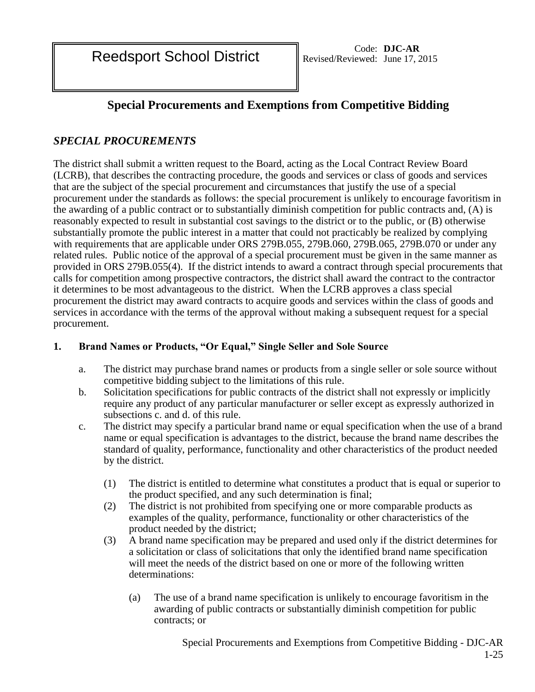Reedsport School District Revised/Reviewed: June 17, 2

# **Special Procurements and Exemptions from Competitive Bidding**

# *SPECIAL PROCUREMENTS*

The district shall submit a written request to the Board, acting as the Local Contract Review Board (LCRB), that describes the contracting procedure, the goods and services or class of goods and services that are the subject of the special procurement and circumstances that justify the use of a special procurement under the standards as follows: the special procurement is unlikely to encourage favoritism in the awarding of a public contract or to substantially diminish competition for public contracts and, (A) is reasonably expected to result in substantial cost savings to the district or to the public, or (B) otherwise substantially promote the public interest in a matter that could not practicably be realized by complying with requirements that are applicable under ORS 279B.055, 279B.060, 279B.065, 279B.070 or under any related rules. Public notice of the approval of a special procurement must be given in the same manner as provided in ORS 279B.055(4). If the district intends to award a contract through special procurements that calls for competition among prospective contractors, the district shall award the contract to the contractor it determines to be most advantageous to the district. When the LCRB approves a class special procurement the district may award contracts to acquire goods and services within the class of goods and services in accordance with the terms of the approval without making a subsequent request for a special procurement.

# **1. Brand Names or Products, "Or Equal," Single Seller and Sole Source**

- a. The district may purchase brand names or products from a single seller or sole source without competitive bidding subject to the limitations of this rule.
- b. Solicitation specifications for public contracts of the district shall not expressly or implicitly require any product of any particular manufacturer or seller except as expressly authorized in subsections c. and d. of this rule.
- c. The district may specify a particular brand name or equal specification when the use of a brand name or equal specification is advantages to the district, because the brand name describes the standard of quality, performance, functionality and other characteristics of the product needed by the district.
	- (1) The district is entitled to determine what constitutes a product that is equal or superior to the product specified, and any such determination is final;
	- (2) The district is not prohibited from specifying one or more comparable products as examples of the quality, performance, functionality or other characteristics of the product needed by the district;
	- (3) A brand name specification may be prepared and used only if the district determines for a solicitation or class of solicitations that only the identified brand name specification will meet the needs of the district based on one or more of the following written determinations:
		- (a) The use of a brand name specification is unlikely to encourage favoritism in the awarding of public contracts or substantially diminish competition for public contracts; or

Special Procurements and Exemptions from Competitive Bidding - DJC-AR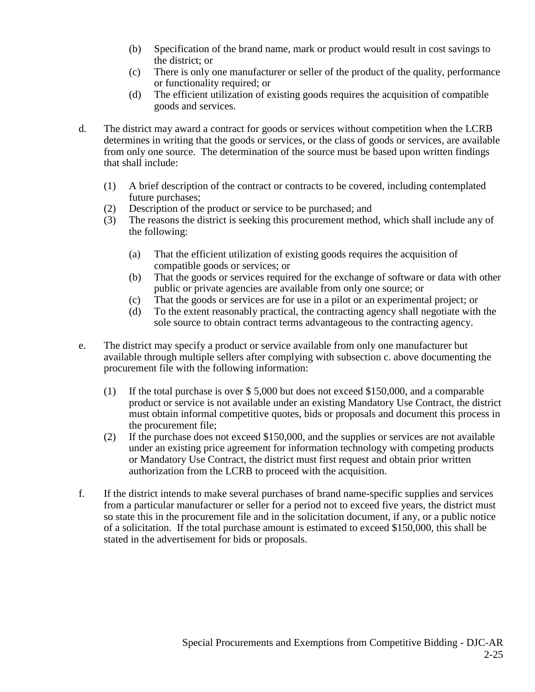- (b) Specification of the brand name, mark or product would result in cost savings to the district; or
- (c) There is only one manufacturer or seller of the product of the quality, performance or functionality required; or
- (d) The efficient utilization of existing goods requires the acquisition of compatible goods and services.
- d. The district may award a contract for goods or services without competition when the LCRB determines in writing that the goods or services, or the class of goods or services, are available from only one source. The determination of the source must be based upon written findings that shall include:
	- (1) A brief description of the contract or contracts to be covered, including contemplated future purchases;
	- (2) Description of the product or service to be purchased; and
	- (3) The reasons the district is seeking this procurement method, which shall include any of the following:
		- (a) That the efficient utilization of existing goods requires the acquisition of compatible goods or services; or
		- (b) That the goods or services required for the exchange of software or data with other public or private agencies are available from only one source; or
		- (c) That the goods or services are for use in a pilot or an experimental project; or
		- (d) To the extent reasonably practical, the contracting agency shall negotiate with the sole source to obtain contract terms advantageous to the contracting agency.
- e. The district may specify a product or service available from only one manufacturer but available through multiple sellers after complying with subsection c. above documenting the procurement file with the following information:
	- (1) If the total purchase is over \$ 5,000 but does not exceed \$150,000, and a comparable product or service is not available under an existing Mandatory Use Contract, the district must obtain informal competitive quotes, bids or proposals and document this process in the procurement file;
	- (2) If the purchase does not exceed \$150,000, and the supplies or services are not available under an existing price agreement for information technology with competing products or Mandatory Use Contract, the district must first request and obtain prior written authorization from the LCRB to proceed with the acquisition.
- f. If the district intends to make several purchases of brand name-specific supplies and services from a particular manufacturer or seller for a period not to exceed five years, the district must so state this in the procurement file and in the solicitation document, if any, or a public notice of a solicitation. If the total purchase amount is estimated to exceed \$150,000, this shall be stated in the advertisement for bids or proposals.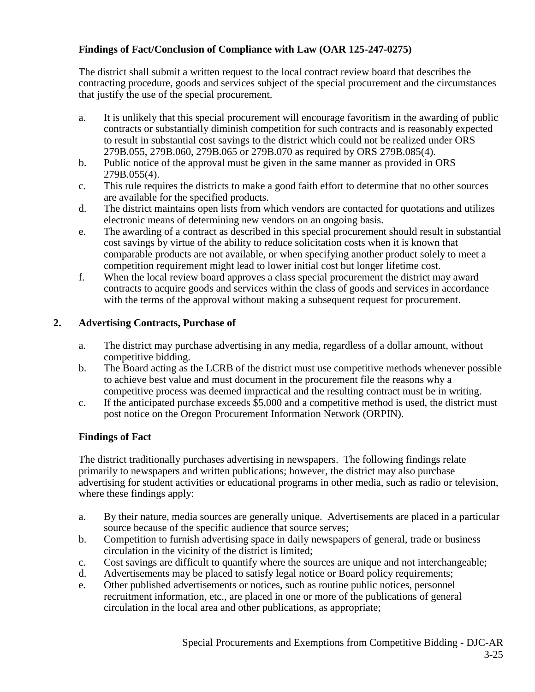# **Findings of Fact/Conclusion of Compliance with Law (OAR 125-247-0275)**

The district shall submit a written request to the local contract review board that describes the contracting procedure, goods and services subject of the special procurement and the circumstances that justify the use of the special procurement.

- a. It is unlikely that this special procurement will encourage favoritism in the awarding of public contracts or substantially diminish competition for such contracts and is reasonably expected to result in substantial cost savings to the district which could not be realized under ORS 279B.055, 279B.060, 279B.065 or 279B.070 as required by ORS 279B.085(4).
- b. Public notice of the approval must be given in the same manner as provided in ORS 279B.055(4).
- c. This rule requires the districts to make a good faith effort to determine that no other sources are available for the specified products.
- d. The district maintains open lists from which vendors are contacted for quotations and utilizes electronic means of determining new vendors on an ongoing basis.
- e. The awarding of a contract as described in this special procurement should result in substantial cost savings by virtue of the ability to reduce solicitation costs when it is known that comparable products are not available, or when specifying another product solely to meet a competition requirement might lead to lower initial cost but longer lifetime cost.
- f. When the local review board approves a class special procurement the district may award contracts to acquire goods and services within the class of goods and services in accordance with the terms of the approval without making a subsequent request for procurement.

# **2. Advertising Contracts, Purchase of**

- a. The district may purchase advertising in any media, regardless of a dollar amount, without competitive bidding.
- b. The Board acting as the LCRB of the district must use competitive methods whenever possible to achieve best value and must document in the procurement file the reasons why a competitive process was deemed impractical and the resulting contract must be in writing.
- c. If the anticipated purchase exceeds \$5,000 and a competitive method is used, the district must post notice on the Oregon Procurement Information Network (ORPIN).

# **Findings of Fact**

The district traditionally purchases advertising in newspapers. The following findings relate primarily to newspapers and written publications; however, the district may also purchase advertising for student activities or educational programs in other media, such as radio or television, where these findings apply:

- a. By their nature, media sources are generally unique. Advertisements are placed in a particular source because of the specific audience that source serves;
- b. Competition to furnish advertising space in daily newspapers of general, trade or business circulation in the vicinity of the district is limited;
- c. Cost savings are difficult to quantify where the sources are unique and not interchangeable;
- d. Advertisements may be placed to satisfy legal notice or Board policy requirements;
- e. Other published advertisements or notices, such as routine public notices, personnel recruitment information, etc., are placed in one or more of the publications of general circulation in the local area and other publications, as appropriate;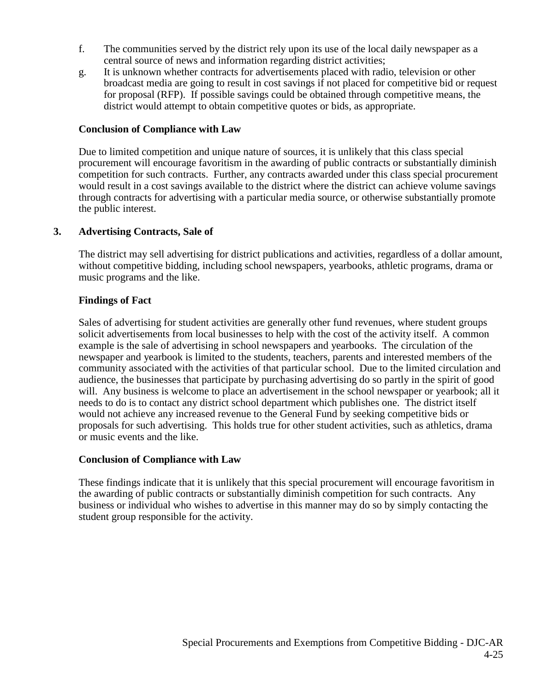- f. The communities served by the district rely upon its use of the local daily newspaper as a central source of news and information regarding district activities;
- g. It is unknown whether contracts for advertisements placed with radio, television or other broadcast media are going to result in cost savings if not placed for competitive bid or request for proposal (RFP). If possible savings could be obtained through competitive means, the district would attempt to obtain competitive quotes or bids, as appropriate.

#### **Conclusion of Compliance with Law**

Due to limited competition and unique nature of sources, it is unlikely that this class special procurement will encourage favoritism in the awarding of public contracts or substantially diminish competition for such contracts. Further, any contracts awarded under this class special procurement would result in a cost savings available to the district where the district can achieve volume savings through contracts for advertising with a particular media source, or otherwise substantially promote the public interest.

#### **3. Advertising Contracts, Sale of**

The district may sell advertising for district publications and activities, regardless of a dollar amount, without competitive bidding, including school newspapers, yearbooks, athletic programs, drama or music programs and the like.

#### **Findings of Fact**

Sales of advertising for student activities are generally other fund revenues, where student groups solicit advertisements from local businesses to help with the cost of the activity itself. A common example is the sale of advertising in school newspapers and yearbooks. The circulation of the newspaper and yearbook is limited to the students, teachers, parents and interested members of the community associated with the activities of that particular school. Due to the limited circulation and audience, the businesses that participate by purchasing advertising do so partly in the spirit of good will. Any business is welcome to place an advertisement in the school newspaper or yearbook; all it needs to do is to contact any district school department which publishes one. The district itself would not achieve any increased revenue to the General Fund by seeking competitive bids or proposals for such advertising. This holds true for other student activities, such as athletics, drama or music events and the like.

#### **Conclusion of Compliance with Law**

These findings indicate that it is unlikely that this special procurement will encourage favoritism in the awarding of public contracts or substantially diminish competition for such contracts. Any business or individual who wishes to advertise in this manner may do so by simply contacting the student group responsible for the activity.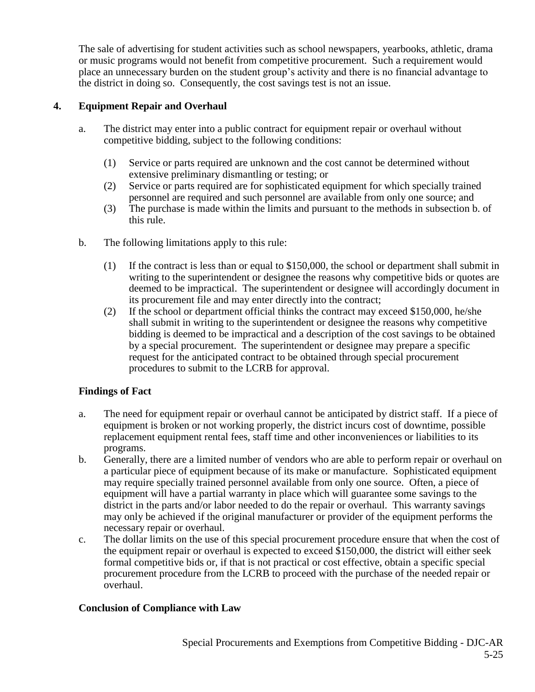The sale of advertising for student activities such as school newspapers, yearbooks, athletic, drama or music programs would not benefit from competitive procurement. Such a requirement would place an unnecessary burden on the student group's activity and there is no financial advantage to the district in doing so. Consequently, the cost savings test is not an issue.

# **4. Equipment Repair and Overhaul**

- a. The district may enter into a public contract for equipment repair or overhaul without competitive bidding, subject to the following conditions:
	- (1) Service or parts required are unknown and the cost cannot be determined without extensive preliminary dismantling or testing; or
	- (2) Service or parts required are for sophisticated equipment for which specially trained personnel are required and such personnel are available from only one source; and
	- (3) The purchase is made within the limits and pursuant to the methods in subsection b. of this rule.
- b. The following limitations apply to this rule:
	- (1) If the contract is less than or equal to \$150,000, the school or department shall submit in writing to the superintendent or designee the reasons why competitive bids or quotes are deemed to be impractical. The superintendent or designee will accordingly document in its procurement file and may enter directly into the contract;
	- (2) If the school or department official thinks the contract may exceed \$150,000, he/she shall submit in writing to the superintendent or designee the reasons why competitive bidding is deemed to be impractical and a description of the cost savings to be obtained by a special procurement. The superintendent or designee may prepare a specific request for the anticipated contract to be obtained through special procurement procedures to submit to the LCRB for approval.

# **Findings of Fact**

- a. The need for equipment repair or overhaul cannot be anticipated by district staff. If a piece of equipment is broken or not working properly, the district incurs cost of downtime, possible replacement equipment rental fees, staff time and other inconveniences or liabilities to its programs.
- b. Generally, there are a limited number of vendors who are able to perform repair or overhaul on a particular piece of equipment because of its make or manufacture. Sophisticated equipment may require specially trained personnel available from only one source. Often, a piece of equipment will have a partial warranty in place which will guarantee some savings to the district in the parts and/or labor needed to do the repair or overhaul. This warranty savings may only be achieved if the original manufacturer or provider of the equipment performs the necessary repair or overhaul.
- c. The dollar limits on the use of this special procurement procedure ensure that when the cost of the equipment repair or overhaul is expected to exceed \$150,000, the district will either seek formal competitive bids or, if that is not practical or cost effective, obtain a specific special procurement procedure from the LCRB to proceed with the purchase of the needed repair or overhaul.

# **Conclusion of Compliance with Law**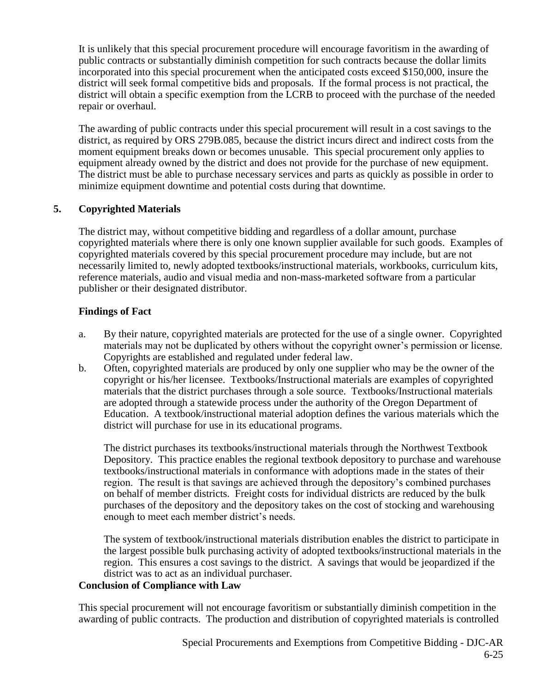It is unlikely that this special procurement procedure will encourage favoritism in the awarding of public contracts or substantially diminish competition for such contracts because the dollar limits incorporated into this special procurement when the anticipated costs exceed \$150,000, insure the district will seek formal competitive bids and proposals. If the formal process is not practical, the district will obtain a specific exemption from the LCRB to proceed with the purchase of the needed repair or overhaul.

The awarding of public contracts under this special procurement will result in a cost savings to the district, as required by ORS 279B.085, because the district incurs direct and indirect costs from the moment equipment breaks down or becomes unusable. This special procurement only applies to equipment already owned by the district and does not provide for the purchase of new equipment. The district must be able to purchase necessary services and parts as quickly as possible in order to minimize equipment downtime and potential costs during that downtime.

# **5. Copyrighted Materials**

The district may, without competitive bidding and regardless of a dollar amount, purchase copyrighted materials where there is only one known supplier available for such goods. Examples of copyrighted materials covered by this special procurement procedure may include, but are not necessarily limited to, newly adopted textbooks/instructional materials, workbooks, curriculum kits, reference materials, audio and visual media and non-mass-marketed software from a particular publisher or their designated distributor.

# **Findings of Fact**

- a. By their nature, copyrighted materials are protected for the use of a single owner. Copyrighted materials may not be duplicated by others without the copyright owner's permission or license. Copyrights are established and regulated under federal law.
- b. Often, copyrighted materials are produced by only one supplier who may be the owner of the copyright or his/her licensee. Textbooks/Instructional materials are examples of copyrighted materials that the district purchases through a sole source. Textbooks/Instructional materials are adopted through a statewide process under the authority of the Oregon Department of Education. A textbook/instructional material adoption defines the various materials which the district will purchase for use in its educational programs.

The district purchases its textbooks/instructional materials through the Northwest Textbook Depository. This practice enables the regional textbook depository to purchase and warehouse textbooks/instructional materials in conformance with adoptions made in the states of their region. The result is that savings are achieved through the depository's combined purchases on behalf of member districts. Freight costs for individual districts are reduced by the bulk purchases of the depository and the depository takes on the cost of stocking and warehousing enough to meet each member district's needs.

The system of textbook/instructional materials distribution enables the district to participate in the largest possible bulk purchasing activity of adopted textbooks/instructional materials in the region. This ensures a cost savings to the district. A savings that would be jeopardized if the district was to act as an individual purchaser.

#### **Conclusion of Compliance with Law**

This special procurement will not encourage favoritism or substantially diminish competition in the awarding of public contracts. The production and distribution of copyrighted materials is controlled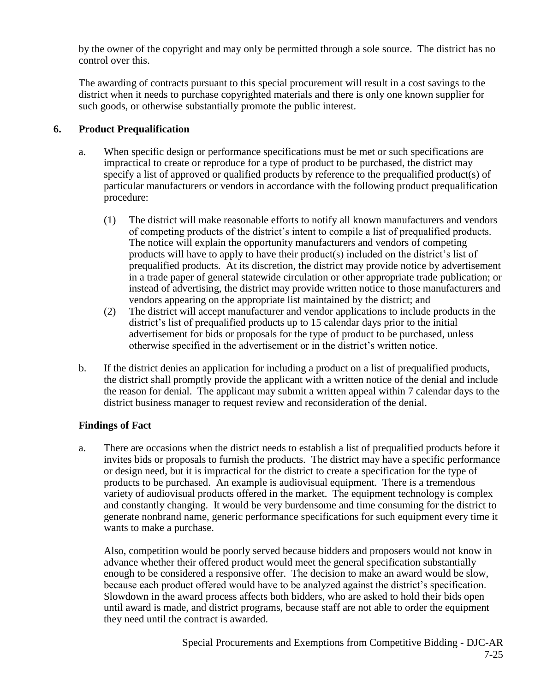by the owner of the copyright and may only be permitted through a sole source. The district has no control over this.

The awarding of contracts pursuant to this special procurement will result in a cost savings to the district when it needs to purchase copyrighted materials and there is only one known supplier for such goods, or otherwise substantially promote the public interest.

# **6. Product Prequalification**

- a. When specific design or performance specifications must be met or such specifications are impractical to create or reproduce for a type of product to be purchased, the district may specify a list of approved or qualified products by reference to the prequalified product(s) of particular manufacturers or vendors in accordance with the following product prequalification procedure:
	- (1) The district will make reasonable efforts to notify all known manufacturers and vendors of competing products of the district's intent to compile a list of prequalified products. The notice will explain the opportunity manufacturers and vendors of competing products will have to apply to have their product(s) included on the district's list of prequalified products. At its discretion, the district may provide notice by advertisement in a trade paper of general statewide circulation or other appropriate trade publication; or instead of advertising, the district may provide written notice to those manufacturers and vendors appearing on the appropriate list maintained by the district; and
	- (2) The district will accept manufacturer and vendor applications to include products in the district's list of prequalified products up to 15 calendar days prior to the initial advertisement for bids or proposals for the type of product to be purchased, unless otherwise specified in the advertisement or in the district's written notice.
- b. If the district denies an application for including a product on a list of prequalified products, the district shall promptly provide the applicant with a written notice of the denial and include the reason for denial. The applicant may submit a written appeal within 7 calendar days to the district business manager to request review and reconsideration of the denial.

# **Findings of Fact**

a. There are occasions when the district needs to establish a list of prequalified products before it invites bids or proposals to furnish the products. The district may have a specific performance or design need, but it is impractical for the district to create a specification for the type of products to be purchased. An example is audiovisual equipment. There is a tremendous variety of audiovisual products offered in the market. The equipment technology is complex and constantly changing. It would be very burdensome and time consuming for the district to generate nonbrand name, generic performance specifications for such equipment every time it wants to make a purchase.

Also, competition would be poorly served because bidders and proposers would not know in advance whether their offered product would meet the general specification substantially enough to be considered a responsive offer. The decision to make an award would be slow, because each product offered would have to be analyzed against the district's specification. Slowdown in the award process affects both bidders, who are asked to hold their bids open until award is made, and district programs, because staff are not able to order the equipment they need until the contract is awarded.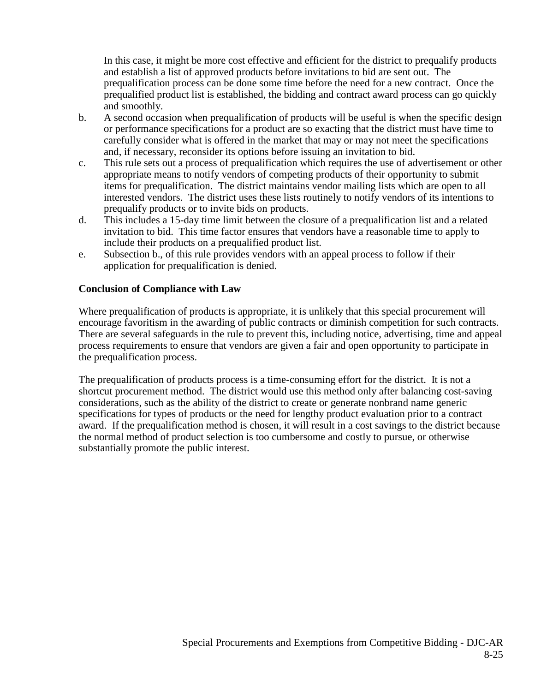In this case, it might be more cost effective and efficient for the district to prequalify products and establish a list of approved products before invitations to bid are sent out. The prequalification process can be done some time before the need for a new contract. Once the prequalified product list is established, the bidding and contract award process can go quickly and smoothly.

- b. A second occasion when prequalification of products will be useful is when the specific design or performance specifications for a product are so exacting that the district must have time to carefully consider what is offered in the market that may or may not meet the specifications and, if necessary, reconsider its options before issuing an invitation to bid.
- c. This rule sets out a process of prequalification which requires the use of advertisement or other appropriate means to notify vendors of competing products of their opportunity to submit items for prequalification. The district maintains vendor mailing lists which are open to all interested vendors. The district uses these lists routinely to notify vendors of its intentions to prequalify products or to invite bids on products.
- d. This includes a 15-day time limit between the closure of a prequalification list and a related invitation to bid. This time factor ensures that vendors have a reasonable time to apply to include their products on a prequalified product list.
- e. Subsection b., of this rule provides vendors with an appeal process to follow if their application for prequalification is denied.

#### **Conclusion of Compliance with Law**

Where prequalification of products is appropriate, it is unlikely that this special procurement will encourage favoritism in the awarding of public contracts or diminish competition for such contracts. There are several safeguards in the rule to prevent this, including notice, advertising, time and appeal process requirements to ensure that vendors are given a fair and open opportunity to participate in the prequalification process.

The prequalification of products process is a time-consuming effort for the district. It is not a shortcut procurement method. The district would use this method only after balancing cost-saving considerations, such as the ability of the district to create or generate nonbrand name generic specifications for types of products or the need for lengthy product evaluation prior to a contract award. If the prequalification method is chosen, it will result in a cost savings to the district because the normal method of product selection is too cumbersome and costly to pursue, or otherwise substantially promote the public interest.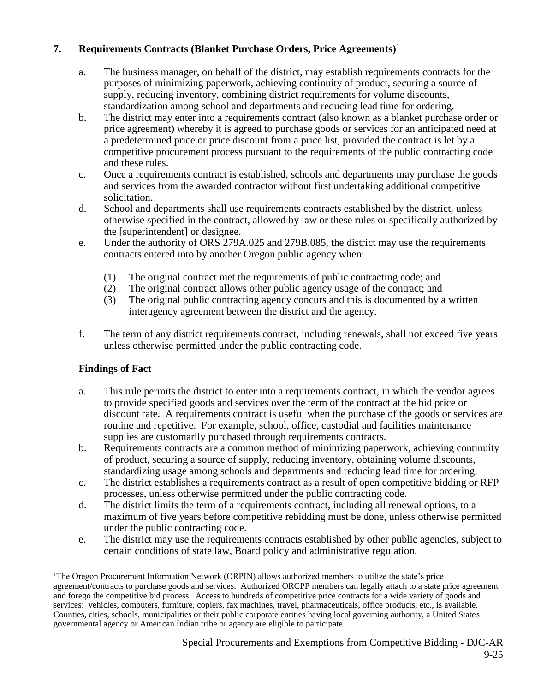# **7. Requirements Contracts (Blanket Purchase Orders, Price Agreements)**<sup>1</sup>

- a. The business manager, on behalf of the district, may establish requirements contracts for the purposes of minimizing paperwork, achieving continuity of product, securing a source of supply, reducing inventory, combining district requirements for volume discounts, standardization among school and departments and reducing lead time for ordering.
- b. The district may enter into a requirements contract (also known as a blanket purchase order or price agreement) whereby it is agreed to purchase goods or services for an anticipated need at a predetermined price or price discount from a price list, provided the contract is let by a competitive procurement process pursuant to the requirements of the public contracting code and these rules.
- c. Once a requirements contract is established, schools and departments may purchase the goods and services from the awarded contractor without first undertaking additional competitive solicitation.
- d. School and departments shall use requirements contracts established by the district, unless otherwise specified in the contract, allowed by law or these rules or specifically authorized by the [superintendent] or designee.
- e. Under the authority of ORS 279A.025 and 279B.085, the district may use the requirements contracts entered into by another Oregon public agency when:
	- (1) The original contract met the requirements of public contracting code; and
	- (2) The original contract allows other public agency usage of the contract; and
	- (3) The original public contracting agency concurs and this is documented by a written interagency agreement between the district and the agency.
- f. The term of any district requirements contract, including renewals, shall not exceed five years unless otherwise permitted under the public contracting code.

# **Findings of Fact**

 $\overline{a}$ 

- a. This rule permits the district to enter into a requirements contract, in which the vendor agrees to provide specified goods and services over the term of the contract at the bid price or discount rate. A requirements contract is useful when the purchase of the goods or services are routine and repetitive. For example, school, office, custodial and facilities maintenance supplies are customarily purchased through requirements contracts.
- b. Requirements contracts are a common method of minimizing paperwork, achieving continuity of product, securing a source of supply, reducing inventory, obtaining volume discounts, standardizing usage among schools and departments and reducing lead time for ordering.
- c. The district establishes a requirements contract as a result of open competitive bidding or RFP processes, unless otherwise permitted under the public contracting code.
- d. The district limits the term of a requirements contract, including all renewal options, to a maximum of five years before competitive rebidding must be done, unless otherwise permitted under the public contracting code.
- e. The district may use the requirements contracts established by other public agencies, subject to certain conditions of state law, Board policy and administrative regulation.

<sup>1</sup>The Oregon Procurement Information Network (ORPIN) allows authorized members to utilize the state's price agreement/contracts to purchase goods and services. Authorized ORCPP members can legally attach to a state price agreement and forego the competitive bid process. Access to hundreds of competitive price contracts for a wide variety of goods and services: vehicles, computers, furniture, copiers, fax machines, travel, pharmaceuticals, office products, etc., is available. Counties, cities, schools, municipalities or their public corporate entities having local governing authority, a United States governmental agency or American Indian tribe or agency are eligible to participate.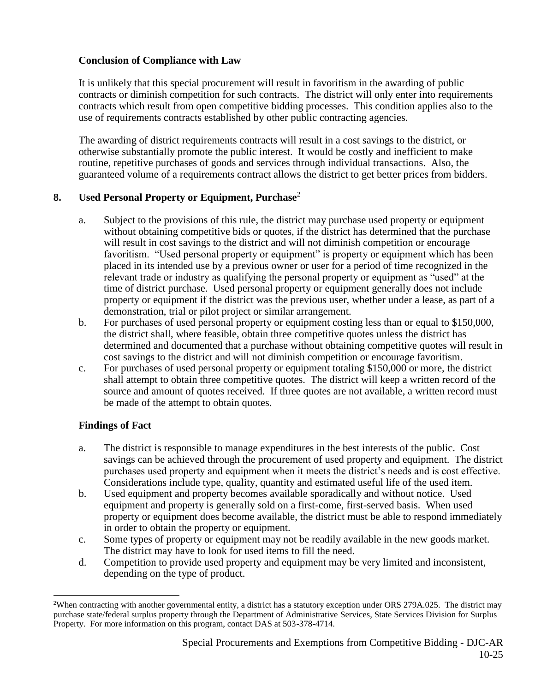# **Conclusion of Compliance with Law**

It is unlikely that this special procurement will result in favoritism in the awarding of public contracts or diminish competition for such contracts. The district will only enter into requirements contracts which result from open competitive bidding processes. This condition applies also to the use of requirements contracts established by other public contracting agencies.

The awarding of district requirements contracts will result in a cost savings to the district, or otherwise substantially promote the public interest. It would be costly and inefficient to make routine, repetitive purchases of goods and services through individual transactions. Also, the guaranteed volume of a requirements contract allows the district to get better prices from bidders.

# **8. Used Personal Property or Equipment, Purchase**<sup>2</sup>

- a. Subject to the provisions of this rule, the district may purchase used property or equipment without obtaining competitive bids or quotes, if the district has determined that the purchase will result in cost savings to the district and will not diminish competition or encourage favoritism. "Used personal property or equipment" is property or equipment which has been placed in its intended use by a previous owner or user for a period of time recognized in the relevant trade or industry as qualifying the personal property or equipment as "used" at the time of district purchase. Used personal property or equipment generally does not include property or equipment if the district was the previous user, whether under a lease, as part of a demonstration, trial or pilot project or similar arrangement.
- b. For purchases of used personal property or equipment costing less than or equal to \$150,000, the district shall, where feasible, obtain three competitive quotes unless the district has determined and documented that a purchase without obtaining competitive quotes will result in cost savings to the district and will not diminish competition or encourage favoritism.
- c. For purchases of used personal property or equipment totaling \$150,000 or more, the district shall attempt to obtain three competitive quotes. The district will keep a written record of the source and amount of quotes received. If three quotes are not available, a written record must be made of the attempt to obtain quotes.

# **Findings of Fact**

 $\overline{a}$ 

- a. The district is responsible to manage expenditures in the best interests of the public. Cost savings can be achieved through the procurement of used property and equipment. The district purchases used property and equipment when it meets the district's needs and is cost effective. Considerations include type, quality, quantity and estimated useful life of the used item.
- b. Used equipment and property becomes available sporadically and without notice. Used equipment and property is generally sold on a first-come, first-served basis. When used property or equipment does become available, the district must be able to respond immediately in order to obtain the property or equipment.
- c. Some types of property or equipment may not be readily available in the new goods market. The district may have to look for used items to fill the need.
- d. Competition to provide used property and equipment may be very limited and inconsistent, depending on the type of product.

<sup>&</sup>lt;sup>2</sup>When contracting with another governmental entity, a district has a statutory exception under ORS 279A.025. The district may purchase state/federal surplus property through the Department of Administrative Services, State Services Division for Surplus Property. For more information on this program, contact DAS at 503-378-4714.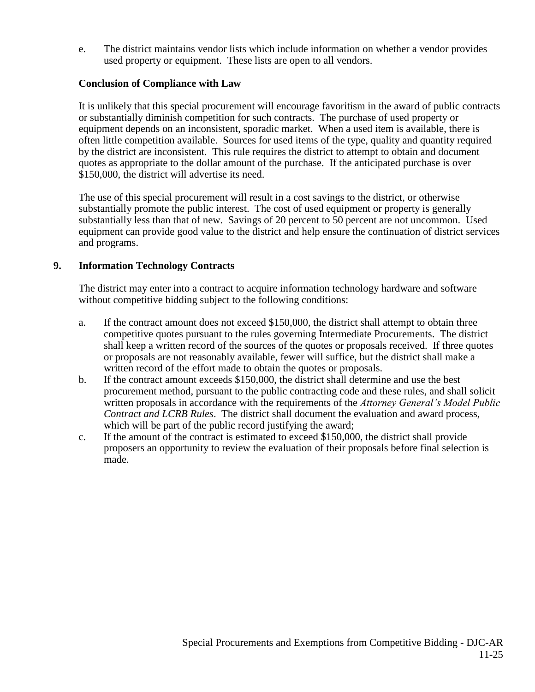e. The district maintains vendor lists which include information on whether a vendor provides used property or equipment. These lists are open to all vendors.

#### **Conclusion of Compliance with Law**

It is unlikely that this special procurement will encourage favoritism in the award of public contracts or substantially diminish competition for such contracts. The purchase of used property or equipment depends on an inconsistent, sporadic market. When a used item is available, there is often little competition available. Sources for used items of the type, quality and quantity required by the district are inconsistent. This rule requires the district to attempt to obtain and document quotes as appropriate to the dollar amount of the purchase. If the anticipated purchase is over \$150,000, the district will advertise its need.

The use of this special procurement will result in a cost savings to the district, or otherwise substantially promote the public interest. The cost of used equipment or property is generally substantially less than that of new. Savings of 20 percent to 50 percent are not uncommon. Used equipment can provide good value to the district and help ensure the continuation of district services and programs.

#### **9. Information Technology Contracts**

The district may enter into a contract to acquire information technology hardware and software without competitive bidding subject to the following conditions:

- a. If the contract amount does not exceed \$150,000, the district shall attempt to obtain three competitive quotes pursuant to the rules governing Intermediate Procurements. The district shall keep a written record of the sources of the quotes or proposals received. If three quotes or proposals are not reasonably available, fewer will suffice, but the district shall make a written record of the effort made to obtain the quotes or proposals.
- b. If the contract amount exceeds \$150,000, the district shall determine and use the best procurement method, pursuant to the public contracting code and these rules, and shall solicit written proposals in accordance with the requirements of the *Attorney General's Model Public Contract and LCRB Rules*. The district shall document the evaluation and award process, which will be part of the public record justifying the award;
- c. If the amount of the contract is estimated to exceed \$150,000, the district shall provide proposers an opportunity to review the evaluation of their proposals before final selection is made.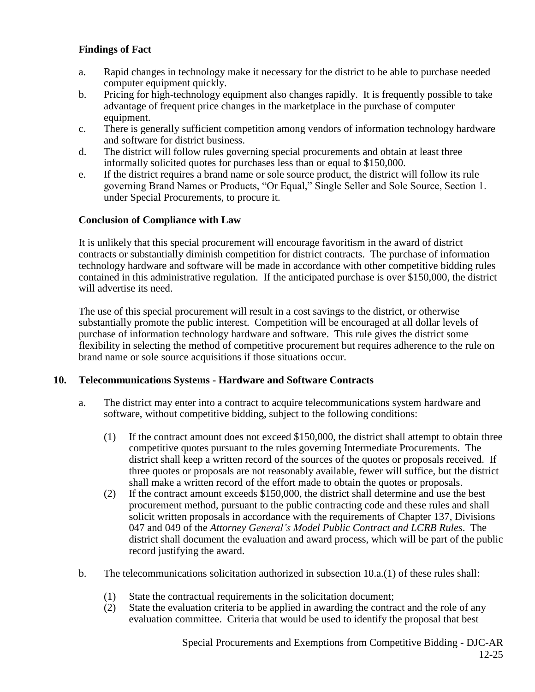- a. Rapid changes in technology make it necessary for the district to be able to purchase needed computer equipment quickly.
- b. Pricing for high-technology equipment also changes rapidly. It is frequently possible to take advantage of frequent price changes in the marketplace in the purchase of computer equipment.
- c. There is generally sufficient competition among vendors of information technology hardware and software for district business.
- d. The district will follow rules governing special procurements and obtain at least three informally solicited quotes for purchases less than or equal to \$150,000.
- e. If the district requires a brand name or sole source product, the district will follow its rule governing Brand Names or Products, "Or Equal," Single Seller and Sole Source, Section 1. under Special Procurements, to procure it.

#### **Conclusion of Compliance with Law**

It is unlikely that this special procurement will encourage favoritism in the award of district contracts or substantially diminish competition for district contracts. The purchase of information technology hardware and software will be made in accordance with other competitive bidding rules contained in this administrative regulation. If the anticipated purchase is over \$150,000, the district will advertise its need.

The use of this special procurement will result in a cost savings to the district, or otherwise substantially promote the public interest. Competition will be encouraged at all dollar levels of purchase of information technology hardware and software. This rule gives the district some flexibility in selecting the method of competitive procurement but requires adherence to the rule on brand name or sole source acquisitions if those situations occur.

#### **10. Telecommunications Systems - Hardware and Software Contracts**

- a. The district may enter into a contract to acquire telecommunications system hardware and software, without competitive bidding, subject to the following conditions:
	- (1) If the contract amount does not exceed \$150,000, the district shall attempt to obtain three competitive quotes pursuant to the rules governing Intermediate Procurements. The district shall keep a written record of the sources of the quotes or proposals received. If three quotes or proposals are not reasonably available, fewer will suffice, but the district shall make a written record of the effort made to obtain the quotes or proposals.
	- (2) If the contract amount exceeds \$150,000, the district shall determine and use the best procurement method, pursuant to the public contracting code and these rules and shall solicit written proposals in accordance with the requirements of Chapter 137, Divisions 047 and 049 of the *Attorney General's Model Public Contract and LCRB Rules*. The district shall document the evaluation and award process, which will be part of the public record justifying the award.
- b. The telecommunications solicitation authorized in subsection 10.a.(1) of these rules shall:
	- (1) State the contractual requirements in the solicitation document;
	- (2) State the evaluation criteria to be applied in awarding the contract and the role of any evaluation committee. Criteria that would be used to identify the proposal that best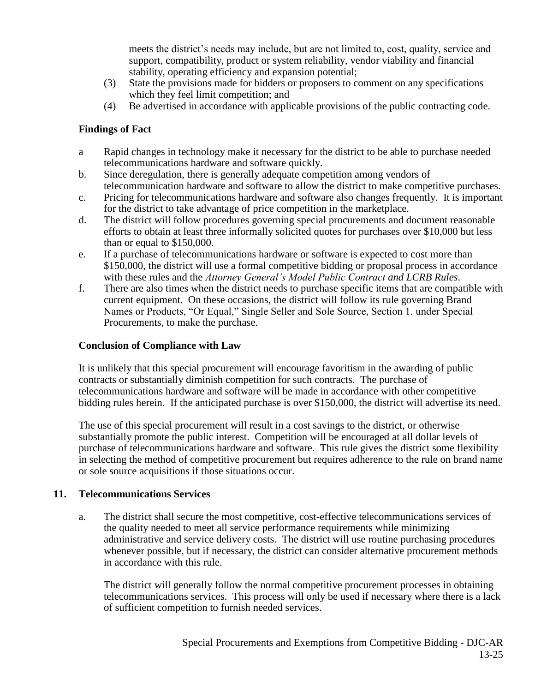meets the district's needs may include, but are not limited to, cost, quality, service and support, compatibility, product or system reliability, vendor viability and financial stability, operating efficiency and expansion potential;

- (3) State the provisions made for bidders or proposers to comment on any specifications which they feel limit competition; and
- (4) Be advertised in accordance with applicable provisions of the public contracting code.

# **Findings of Fact**

- a Rapid changes in technology make it necessary for the district to be able to purchase needed telecommunications hardware and software quickly.
- b. Since deregulation, there is generally adequate competition among vendors of telecommunication hardware and software to allow the district to make competitive purchases.
- c. Pricing for telecommunications hardware and software also changes frequently. It is important for the district to take advantage of price competition in the marketplace.
- d. The district will follow procedures governing special procurements and document reasonable efforts to obtain at least three informally solicited quotes for purchases over \$10,000 but less than or equal to \$150,000.
- e. If a purchase of telecommunications hardware or software is expected to cost more than \$150,000, the district will use a formal competitive bidding or proposal process in accordance with these rules and the *Attorney General's Model Public Contract and LCRB Rules*.
- f. There are also times when the district needs to purchase specific items that are compatible with current equipment. On these occasions, the district will follow its rule governing Brand Names or Products, "Or Equal," Single Seller and Sole Source, Section 1. under Special Procurements, to make the purchase.

# **Conclusion of Compliance with Law**

It is unlikely that this special procurement will encourage favoritism in the awarding of public contracts or substantially diminish competition for such contracts. The purchase of telecommunications hardware and software will be made in accordance with other competitive bidding rules herein. If the anticipated purchase is over \$150,000, the district will advertise its need.

The use of this special procurement will result in a cost savings to the district, or otherwise substantially promote the public interest. Competition will be encouraged at all dollar levels of purchase of telecommunications hardware and software. This rule gives the district some flexibility in selecting the method of competitive procurement but requires adherence to the rule on brand name or sole source acquisitions if those situations occur.

# **11. Telecommunications Services**

a. The district shall secure the most competitive, cost-effective telecommunications services of the quality needed to meet all service performance requirements while minimizing administrative and service delivery costs. The district will use routine purchasing procedures whenever possible, but if necessary, the district can consider alternative procurement methods in accordance with this rule.

The district will generally follow the normal competitive procurement processes in obtaining telecommunications services. This process will only be used if necessary where there is a lack of sufficient competition to furnish needed services.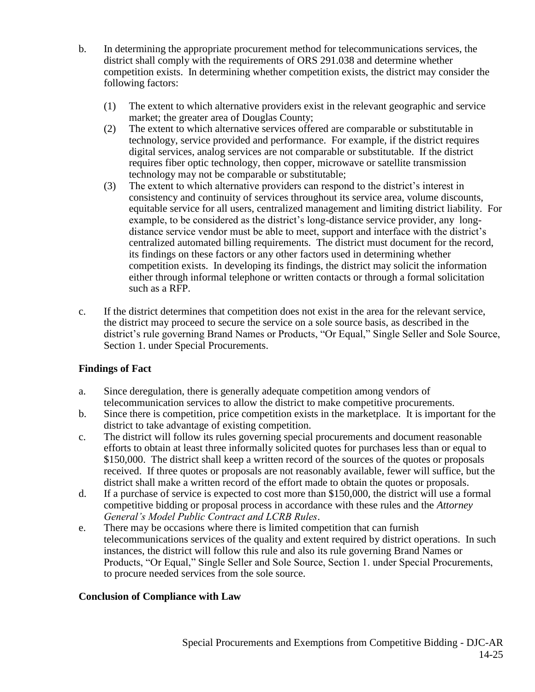- b. In determining the appropriate procurement method for telecommunications services, the district shall comply with the requirements of ORS 291.038 and determine whether competition exists. In determining whether competition exists, the district may consider the following factors:
	- (1) The extent to which alternative providers exist in the relevant geographic and service market; the greater area of Douglas County;
	- (2) The extent to which alternative services offered are comparable or substitutable in technology, service provided and performance. For example, if the district requires digital services, analog services are not comparable or substitutable. If the district requires fiber optic technology, then copper, microwave or satellite transmission technology may not be comparable or substitutable;
	- (3) The extent to which alternative providers can respond to the district's interest in consistency and continuity of services throughout its service area, volume discounts, equitable service for all users, centralized management and limiting district liability. For example, to be considered as the district's long-distance service provider, any longdistance service vendor must be able to meet, support and interface with the district's centralized automated billing requirements. The district must document for the record, its findings on these factors or any other factors used in determining whether competition exists. In developing its findings, the district may solicit the information either through informal telephone or written contacts or through a formal solicitation such as a RFP.
- c. If the district determines that competition does not exist in the area for the relevant service, the district may proceed to secure the service on a sole source basis, as described in the district's rule governing Brand Names or Products, "Or Equal," Single Seller and Sole Source, Section 1. under Special Procurements.

- a. Since deregulation, there is generally adequate competition among vendors of telecommunication services to allow the district to make competitive procurements.
- b. Since there is competition, price competition exists in the marketplace. It is important for the district to take advantage of existing competition.
- c. The district will follow its rules governing special procurements and document reasonable efforts to obtain at least three informally solicited quotes for purchases less than or equal to \$150,000. The district shall keep a written record of the sources of the quotes or proposals received. If three quotes or proposals are not reasonably available, fewer will suffice, but the district shall make a written record of the effort made to obtain the quotes or proposals.
- d. If a purchase of service is expected to cost more than \$150,000, the district will use a formal competitive bidding or proposal process in accordance with these rules and the *Attorney General's Model Public Contract and LCRB Rules*.
- e. There may be occasions where there is limited competition that can furnish telecommunications services of the quality and extent required by district operations. In such instances, the district will follow this rule and also its rule governing Brand Names or Products, "Or Equal," Single Seller and Sole Source, Section 1. under Special Procurements, to procure needed services from the sole source.

#### **Conclusion of Compliance with Law**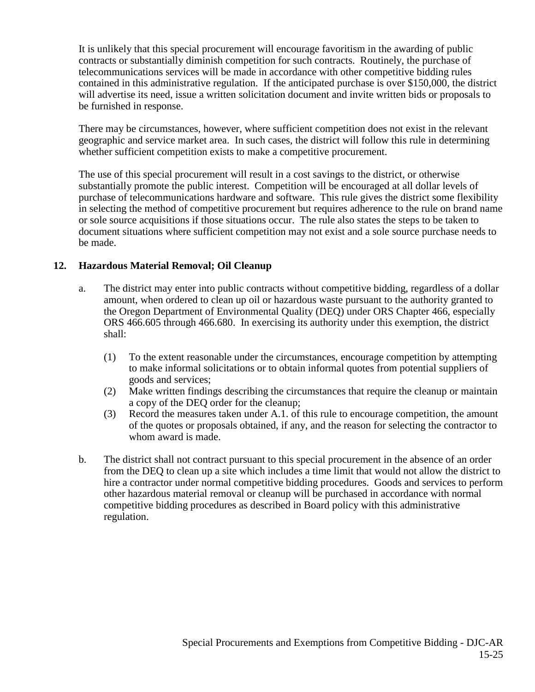It is unlikely that this special procurement will encourage favoritism in the awarding of public contracts or substantially diminish competition for such contracts. Routinely, the purchase of telecommunications services will be made in accordance with other competitive bidding rules contained in this administrative regulation. If the anticipated purchase is over \$150,000, the district will advertise its need, issue a written solicitation document and invite written bids or proposals to be furnished in response.

There may be circumstances, however, where sufficient competition does not exist in the relevant geographic and service market area. In such cases, the district will follow this rule in determining whether sufficient competition exists to make a competitive procurement.

The use of this special procurement will result in a cost savings to the district, or otherwise substantially promote the public interest. Competition will be encouraged at all dollar levels of purchase of telecommunications hardware and software. This rule gives the district some flexibility in selecting the method of competitive procurement but requires adherence to the rule on brand name or sole source acquisitions if those situations occur. The rule also states the steps to be taken to document situations where sufficient competition may not exist and a sole source purchase needs to be made.

# **12. Hazardous Material Removal; Oil Cleanup**

- a. The district may enter into public contracts without competitive bidding, regardless of a dollar amount, when ordered to clean up oil or hazardous waste pursuant to the authority granted to the Oregon Department of Environmental Quality (DEQ) under ORS Chapter 466, especially ORS 466.605 through 466.680. In exercising its authority under this exemption, the district shall:
	- (1) To the extent reasonable under the circumstances, encourage competition by attempting to make informal solicitations or to obtain informal quotes from potential suppliers of goods and services;
	- (2) Make written findings describing the circumstances that require the cleanup or maintain a copy of the DEQ order for the cleanup;
	- (3) Record the measures taken under A.1. of this rule to encourage competition, the amount of the quotes or proposals obtained, if any, and the reason for selecting the contractor to whom award is made.
- b. The district shall not contract pursuant to this special procurement in the absence of an order from the DEQ to clean up a site which includes a time limit that would not allow the district to hire a contractor under normal competitive bidding procedures. Goods and services to perform other hazardous material removal or cleanup will be purchased in accordance with normal competitive bidding procedures as described in Board policy with this administrative regulation.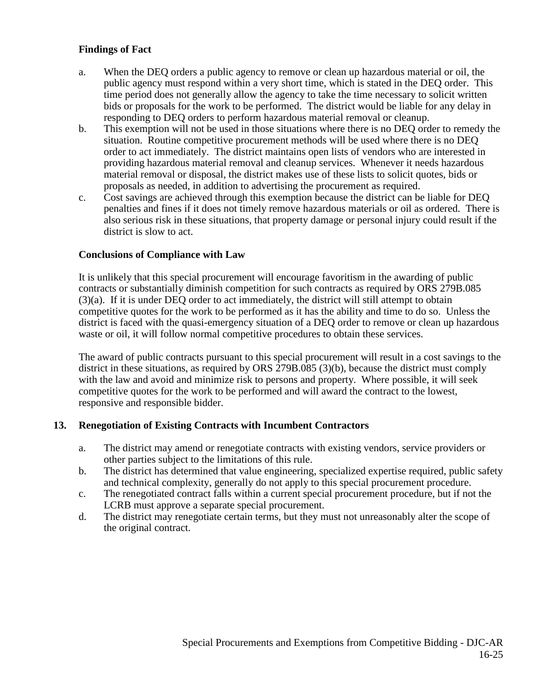- a. When the DEQ orders a public agency to remove or clean up hazardous material or oil, the public agency must respond within a very short time, which is stated in the DEQ order. This time period does not generally allow the agency to take the time necessary to solicit written bids or proposals for the work to be performed. The district would be liable for any delay in responding to DEQ orders to perform hazardous material removal or cleanup.
- b. This exemption will not be used in those situations where there is no DEQ order to remedy the situation. Routine competitive procurement methods will be used where there is no DEQ order to act immediately. The district maintains open lists of vendors who are interested in providing hazardous material removal and cleanup services. Whenever it needs hazardous material removal or disposal, the district makes use of these lists to solicit quotes, bids or proposals as needed, in addition to advertising the procurement as required.
- c. Cost savings are achieved through this exemption because the district can be liable for DEQ penalties and fines if it does not timely remove hazardous materials or oil as ordered. There is also serious risk in these situations, that property damage or personal injury could result if the district is slow to act.

#### **Conclusions of Compliance with Law**

It is unlikely that this special procurement will encourage favoritism in the awarding of public contracts or substantially diminish competition for such contracts as required by ORS 279B.085 (3)(a). If it is under DEQ order to act immediately, the district will still attempt to obtain competitive quotes for the work to be performed as it has the ability and time to do so. Unless the district is faced with the quasi-emergency situation of a DEQ order to remove or clean up hazardous waste or oil, it will follow normal competitive procedures to obtain these services.

The award of public contracts pursuant to this special procurement will result in a cost savings to the district in these situations, as required by ORS 279B.085 (3)(b), because the district must comply with the law and avoid and minimize risk to persons and property. Where possible, it will seek competitive quotes for the work to be performed and will award the contract to the lowest, responsive and responsible bidder.

#### **13. Renegotiation of Existing Contracts with Incumbent Contractors**

- a. The district may amend or renegotiate contracts with existing vendors, service providers or other parties subject to the limitations of this rule.
- b. The district has determined that value engineering, specialized expertise required, public safety and technical complexity, generally do not apply to this special procurement procedure.
- c. The renegotiated contract falls within a current special procurement procedure, but if not the LCRB must approve a separate special procurement.
- d. The district may renegotiate certain terms, but they must not unreasonably alter the scope of the original contract.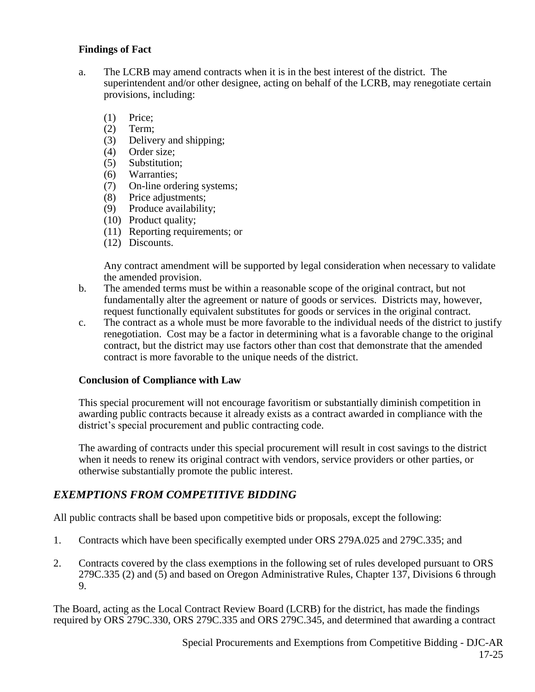- a. The LCRB may amend contracts when it is in the best interest of the district. The superintendent and/or other designee, acting on behalf of the LCRB, may renegotiate certain provisions, including:
	- (1) Price;
	- (2) Term;
	- (3) Delivery and shipping;
	- (4) Order size;
	- (5) Substitution;
	- (6) Warranties;
	- (7) On-line ordering systems;
	- (8) Price adjustments;
	- (9) Produce availability;
	- (10) Product quality;
	- (11) Reporting requirements; or
	- (12) Discounts.

Any contract amendment will be supported by legal consideration when necessary to validate the amended provision.

- b. The amended terms must be within a reasonable scope of the original contract, but not fundamentally alter the agreement or nature of goods or services. Districts may, however, request functionally equivalent substitutes for goods or services in the original contract.
- c. The contract as a whole must be more favorable to the individual needs of the district to justify renegotiation. Cost may be a factor in determining what is a favorable change to the original contract, but the district may use factors other than cost that demonstrate that the amended contract is more favorable to the unique needs of the district.

#### **Conclusion of Compliance with Law**

This special procurement will not encourage favoritism or substantially diminish competition in awarding public contracts because it already exists as a contract awarded in compliance with the district's special procurement and public contracting code.

The awarding of contracts under this special procurement will result in cost savings to the district when it needs to renew its original contract with vendors, service providers or other parties, or otherwise substantially promote the public interest.

# *EXEMPTIONS FROM COMPETITIVE BIDDING*

All public contracts shall be based upon competitive bids or proposals, except the following:

- 1. Contracts which have been specifically exempted under ORS 279A.025 and 279C.335; and
- 2. Contracts covered by the class exemptions in the following set of rules developed pursuant to ORS 279C.335 (2) and (5) and based on Oregon Administrative Rules, Chapter 137, Divisions 6 through 9.

The Board, acting as the Local Contract Review Board (LCRB) for the district, has made the findings required by ORS 279C.330, ORS 279C.335 and ORS 279C.345, and determined that awarding a contract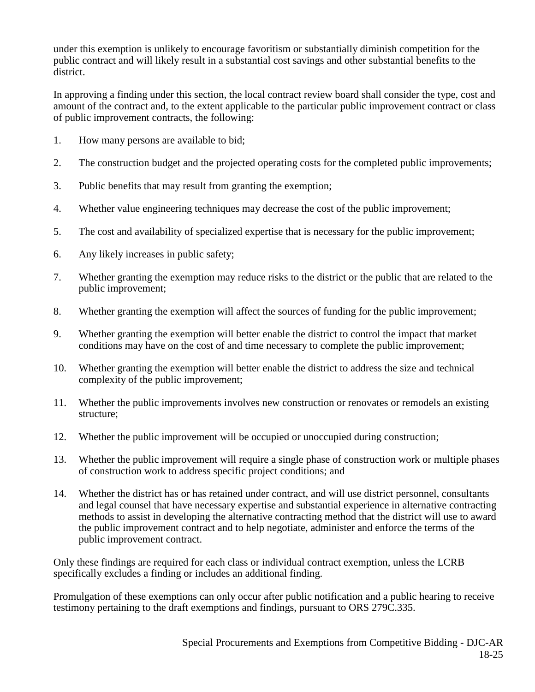under this exemption is unlikely to encourage favoritism or substantially diminish competition for the public contract and will likely result in a substantial cost savings and other substantial benefits to the district.

In approving a finding under this section, the local contract review board shall consider the type, cost and amount of the contract and, to the extent applicable to the particular public improvement contract or class of public improvement contracts, the following:

- 1. How many persons are available to bid;
- 2. The construction budget and the projected operating costs for the completed public improvements;
- 3. Public benefits that may result from granting the exemption;
- 4. Whether value engineering techniques may decrease the cost of the public improvement;
- 5. The cost and availability of specialized expertise that is necessary for the public improvement;
- 6. Any likely increases in public safety;
- 7. Whether granting the exemption may reduce risks to the district or the public that are related to the public improvement;
- 8. Whether granting the exemption will affect the sources of funding for the public improvement;
- 9. Whether granting the exemption will better enable the district to control the impact that market conditions may have on the cost of and time necessary to complete the public improvement;
- 10. Whether granting the exemption will better enable the district to address the size and technical complexity of the public improvement;
- 11. Whether the public improvements involves new construction or renovates or remodels an existing structure;
- 12. Whether the public improvement will be occupied or unoccupied during construction;
- 13. Whether the public improvement will require a single phase of construction work or multiple phases of construction work to address specific project conditions; and
- 14. Whether the district has or has retained under contract, and will use district personnel, consultants and legal counsel that have necessary expertise and substantial experience in alternative contracting methods to assist in developing the alternative contracting method that the district will use to award the public improvement contract and to help negotiate, administer and enforce the terms of the public improvement contract.

Only these findings are required for each class or individual contract exemption, unless the LCRB specifically excludes a finding or includes an additional finding.

Promulgation of these exemptions can only occur after public notification and a public hearing to receive testimony pertaining to the draft exemptions and findings, pursuant to ORS 279C.335.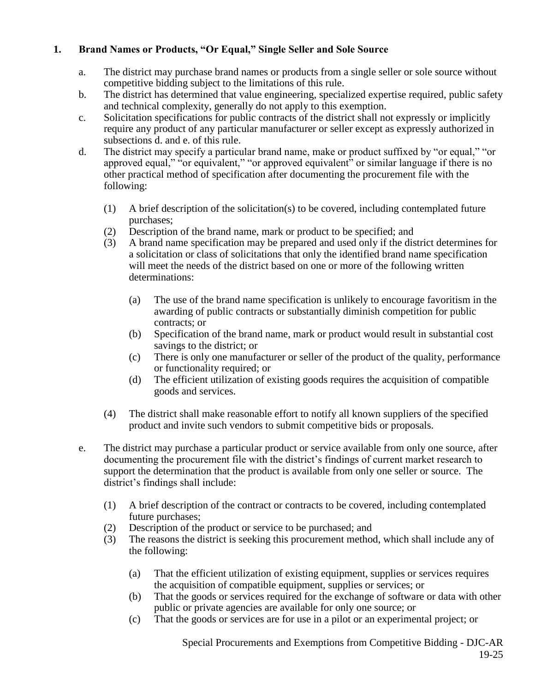# **1. Brand Names or Products, "Or Equal," Single Seller and Sole Source**

- a. The district may purchase brand names or products from a single seller or sole source without competitive bidding subject to the limitations of this rule.
- b. The district has determined that value engineering, specialized expertise required, public safety and technical complexity, generally do not apply to this exemption.
- c. Solicitation specifications for public contracts of the district shall not expressly or implicitly require any product of any particular manufacturer or seller except as expressly authorized in subsections d. and e. of this rule.
- d. The district may specify a particular brand name, make or product suffixed by "or equal," "or approved equal," "or equivalent," "or approved equivalent" or similar language if there is no other practical method of specification after documenting the procurement file with the following:
	- (1) A brief description of the solicitation(s) to be covered, including contemplated future purchases;
	- (2) Description of the brand name, mark or product to be specified; and
	- (3) A brand name specification may be prepared and used only if the district determines for a solicitation or class of solicitations that only the identified brand name specification will meet the needs of the district based on one or more of the following written determinations:
		- (a) The use of the brand name specification is unlikely to encourage favoritism in the awarding of public contracts or substantially diminish competition for public contracts; or
		- (b) Specification of the brand name, mark or product would result in substantial cost savings to the district; or
		- (c) There is only one manufacturer or seller of the product of the quality, performance or functionality required; or
		- (d) The efficient utilization of existing goods requires the acquisition of compatible goods and services.
	- (4) The district shall make reasonable effort to notify all known suppliers of the specified product and invite such vendors to submit competitive bids or proposals.
- e. The district may purchase a particular product or service available from only one source, after documenting the procurement file with the district's findings of current market research to support the determination that the product is available from only one seller or source. The district's findings shall include:
	- (1) A brief description of the contract or contracts to be covered, including contemplated future purchases;
	- (2) Description of the product or service to be purchased; and
	- (3) The reasons the district is seeking this procurement method, which shall include any of the following:
		- (a) That the efficient utilization of existing equipment, supplies or services requires the acquisition of compatible equipment, supplies or services; or
		- (b) That the goods or services required for the exchange of software or data with other public or private agencies are available for only one source; or
		- (c) That the goods or services are for use in a pilot or an experimental project; or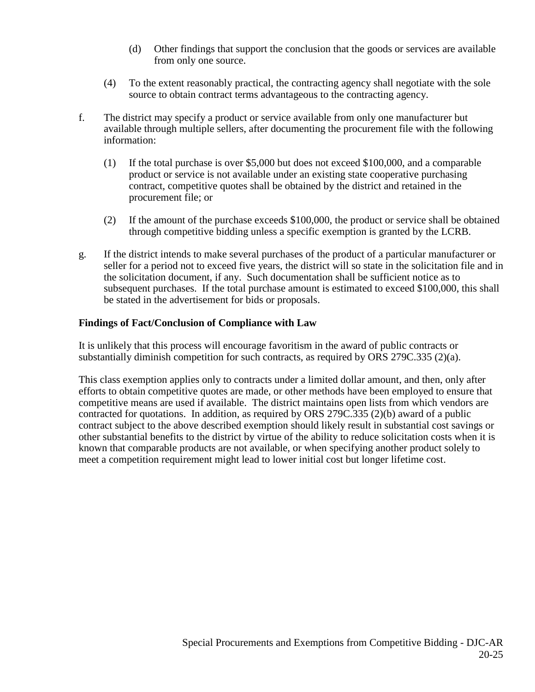- (d) Other findings that support the conclusion that the goods or services are available from only one source.
- (4) To the extent reasonably practical, the contracting agency shall negotiate with the sole source to obtain contract terms advantageous to the contracting agency.
- f. The district may specify a product or service available from only one manufacturer but available through multiple sellers, after documenting the procurement file with the following information:
	- (1) If the total purchase is over \$5,000 but does not exceed \$100,000, and a comparable product or service is not available under an existing state cooperative purchasing contract, competitive quotes shall be obtained by the district and retained in the procurement file; or
	- (2) If the amount of the purchase exceeds \$100,000, the product or service shall be obtained through competitive bidding unless a specific exemption is granted by the LCRB.
- g. If the district intends to make several purchases of the product of a particular manufacturer or seller for a period not to exceed five years, the district will so state in the solicitation file and in the solicitation document, if any. Such documentation shall be sufficient notice as to subsequent purchases. If the total purchase amount is estimated to exceed \$100,000, this shall be stated in the advertisement for bids or proposals.

# **Findings of Fact/Conclusion of Compliance with Law**

It is unlikely that this process will encourage favoritism in the award of public contracts or substantially diminish competition for such contracts, as required by ORS 279C.335 (2)(a).

This class exemption applies only to contracts under a limited dollar amount, and then, only after efforts to obtain competitive quotes are made, or other methods have been employed to ensure that competitive means are used if available. The district maintains open lists from which vendors are contracted for quotations. In addition, as required by ORS 279C.335 (2)(b) award of a public contract subject to the above described exemption should likely result in substantial cost savings or other substantial benefits to the district by virtue of the ability to reduce solicitation costs when it is known that comparable products are not available, or when specifying another product solely to meet a competition requirement might lead to lower initial cost but longer lifetime cost.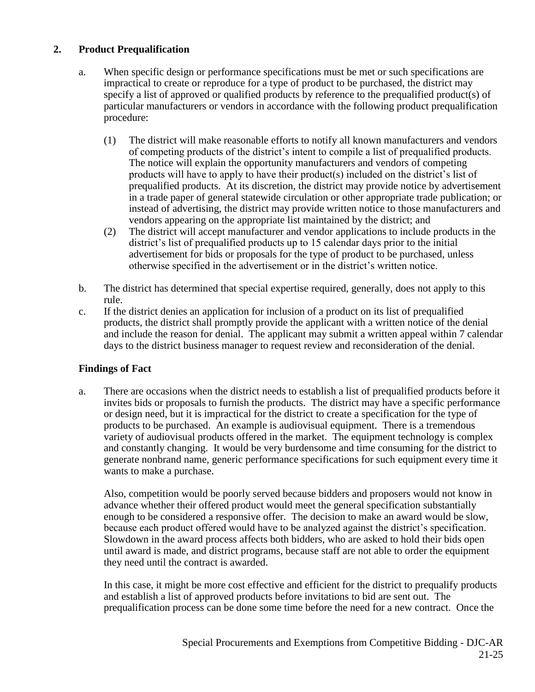# **2. Product Prequalification**

- a. When specific design or performance specifications must be met or such specifications are impractical to create or reproduce for a type of product to be purchased, the district may specify a list of approved or qualified products by reference to the prequalified product(s) of particular manufacturers or vendors in accordance with the following product prequalification procedure:
	- (1) The district will make reasonable efforts to notify all known manufacturers and vendors of competing products of the district's intent to compile a list of prequalified products. The notice will explain the opportunity manufacturers and vendors of competing products will have to apply to have their product(s) included on the district's list of prequalified products. At its discretion, the district may provide notice by advertisement in a trade paper of general statewide circulation or other appropriate trade publication; or instead of advertising, the district may provide written notice to those manufacturers and vendors appearing on the appropriate list maintained by the district; and
	- (2) The district will accept manufacturer and vendor applications to include products in the district's list of prequalified products up to 15 calendar days prior to the initial advertisement for bids or proposals for the type of product to be purchased, unless otherwise specified in the advertisement or in the district's written notice.
- b. The district has determined that special expertise required, generally, does not apply to this rule.
- c. If the district denies an application for inclusion of a product on its list of prequalified products, the district shall promptly provide the applicant with a written notice of the denial and include the reason for denial. The applicant may submit a written appeal within 7 calendar days to the district business manager to request review and reconsideration of the denial.

# **Findings of Fact**

a. There are occasions when the district needs to establish a list of prequalified products before it invites bids or proposals to furnish the products. The district may have a specific performance or design need, but it is impractical for the district to create a specification for the type of products to be purchased. An example is audiovisual equipment. There is a tremendous variety of audiovisual products offered in the market. The equipment technology is complex and constantly changing. It would be very burdensome and time consuming for the district to generate nonbrand name, generic performance specifications for such equipment every time it wants to make a purchase.

Also, competition would be poorly served because bidders and proposers would not know in advance whether their offered product would meet the general specification substantially enough to be considered a responsive offer. The decision to make an award would be slow, because each product offered would have to be analyzed against the district's specification. Slowdown in the award process affects both bidders, who are asked to hold their bids open until award is made, and district programs, because staff are not able to order the equipment they need until the contract is awarded.

In this case, it might be more cost effective and efficient for the district to prequalify products and establish a list of approved products before invitations to bid are sent out. The prequalification process can be done some time before the need for a new contract. Once the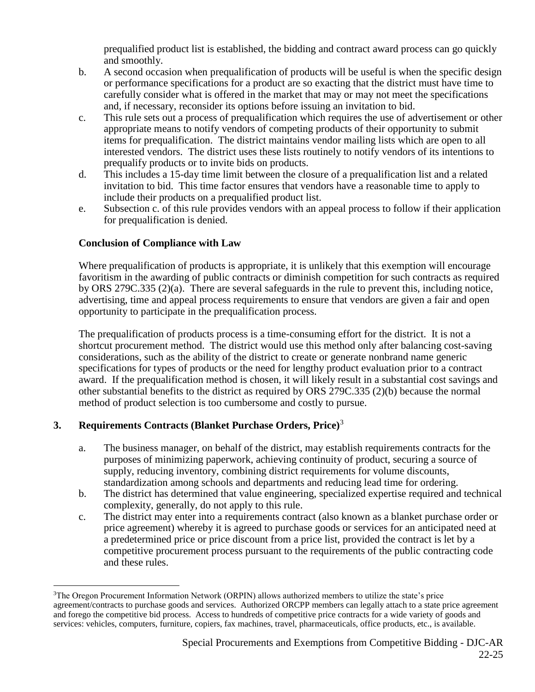prequalified product list is established, the bidding and contract award process can go quickly and smoothly.

- b. A second occasion when prequalification of products will be useful is when the specific design or performance specifications for a product are so exacting that the district must have time to carefully consider what is offered in the market that may or may not meet the specifications and, if necessary, reconsider its options before issuing an invitation to bid.
- c. This rule sets out a process of prequalification which requires the use of advertisement or other appropriate means to notify vendors of competing products of their opportunity to submit items for prequalification. The district maintains vendor mailing lists which are open to all interested vendors. The district uses these lists routinely to notify vendors of its intentions to prequalify products or to invite bids on products.
- d. This includes a 15-day time limit between the closure of a prequalification list and a related invitation to bid. This time factor ensures that vendors have a reasonable time to apply to include their products on a prequalified product list.
- e. Subsection c. of this rule provides vendors with an appeal process to follow if their application for prequalification is denied.

# **Conclusion of Compliance with Law**

Where prequalification of products is appropriate, it is unlikely that this exemption will encourage favoritism in the awarding of public contracts or diminish competition for such contracts as required by ORS 279C.335 (2)(a). There are several safeguards in the rule to prevent this, including notice, advertising, time and appeal process requirements to ensure that vendors are given a fair and open opportunity to participate in the prequalification process.

The prequalification of products process is a time-consuming effort for the district. It is not a shortcut procurement method. The district would use this method only after balancing cost-saving considerations, such as the ability of the district to create or generate nonbrand name generic specifications for types of products or the need for lengthy product evaluation prior to a contract award. If the prequalification method is chosen, it will likely result in a substantial cost savings and other substantial benefits to the district as required by ORS 279C.335 (2)(b) because the normal method of product selection is too cumbersome and costly to pursue.

# **3. Requirements Contracts (Blanket Purchase Orders, Price)**<sup>3</sup>

- a. The business manager, on behalf of the district, may establish requirements contracts for the purposes of minimizing paperwork, achieving continuity of product, securing a source of supply, reducing inventory, combining district requirements for volume discounts, standardization among schools and departments and reducing lead time for ordering.
- b. The district has determined that value engineering, specialized expertise required and technical complexity, generally, do not apply to this rule.
- c. The district may enter into a requirements contract (also known as a blanket purchase order or price agreement) whereby it is agreed to purchase goods or services for an anticipated need at a predetermined price or price discount from a price list, provided the contract is let by a competitive procurement process pursuant to the requirements of the public contracting code and these rules.

 $\overline{a}$ <sup>3</sup>The Oregon Procurement Information Network (ORPIN) allows authorized members to utilize the state's price agreement/contracts to purchase goods and services. Authorized ORCPP members can legally attach to a state price agreement and forego the competitive bid process. Access to hundreds of competitive price contracts for a wide variety of goods and services: vehicles, computers, furniture, copiers, fax machines, travel, pharmaceuticals, office products, etc., is available.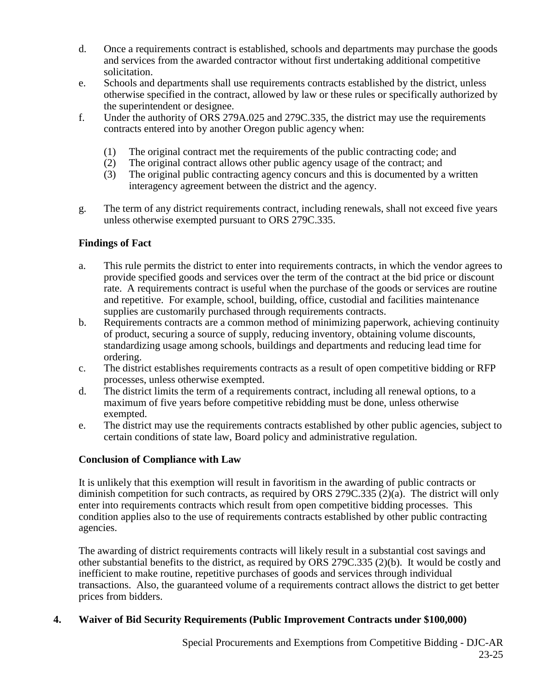- d. Once a requirements contract is established, schools and departments may purchase the goods and services from the awarded contractor without first undertaking additional competitive solicitation.
- e. Schools and departments shall use requirements contracts established by the district, unless otherwise specified in the contract, allowed by law or these rules or specifically authorized by the superintendent or designee.
- f. Under the authority of ORS 279A.025 and 279C.335, the district may use the requirements contracts entered into by another Oregon public agency when:
	- (1) The original contract met the requirements of the public contracting code; and
	- (2) The original contract allows other public agency usage of the contract; and
	- (3) The original public contracting agency concurs and this is documented by a written interagency agreement between the district and the agency.
- g. The term of any district requirements contract, including renewals, shall not exceed five years unless otherwise exempted pursuant to ORS 279C.335.

- a. This rule permits the district to enter into requirements contracts, in which the vendor agrees to provide specified goods and services over the term of the contract at the bid price or discount rate. A requirements contract is useful when the purchase of the goods or services are routine and repetitive. For example, school, building, office, custodial and facilities maintenance supplies are customarily purchased through requirements contracts.
- b. Requirements contracts are a common method of minimizing paperwork, achieving continuity of product, securing a source of supply, reducing inventory, obtaining volume discounts, standardizing usage among schools, buildings and departments and reducing lead time for ordering.
- c. The district establishes requirements contracts as a result of open competitive bidding or RFP processes, unless otherwise exempted.
- d. The district limits the term of a requirements contract, including all renewal options, to a maximum of five years before competitive rebidding must be done, unless otherwise exempted.
- e. The district may use the requirements contracts established by other public agencies, subject to certain conditions of state law, Board policy and administrative regulation.

# **Conclusion of Compliance with Law**

It is unlikely that this exemption will result in favoritism in the awarding of public contracts or diminish competition for such contracts, as required by ORS 279C.335 (2)(a). The district will only enter into requirements contracts which result from open competitive bidding processes. This condition applies also to the use of requirements contracts established by other public contracting agencies.

The awarding of district requirements contracts will likely result in a substantial cost savings and other substantial benefits to the district, as required by ORS 279C.335 (2)(b). It would be costly and inefficient to make routine, repetitive purchases of goods and services through individual transactions. Also, the guaranteed volume of a requirements contract allows the district to get better prices from bidders.

# **4. Waiver of Bid Security Requirements (Public Improvement Contracts under \$100,000)**

Special Procurements and Exemptions from Competitive Bidding - DJC-AR 23-25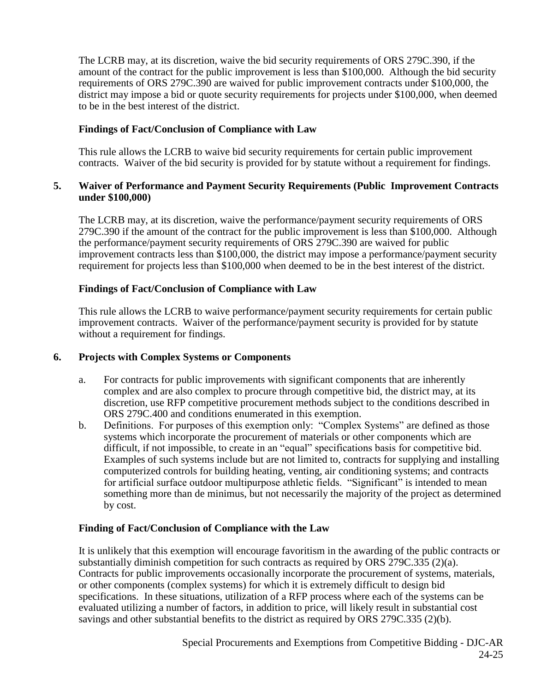The LCRB may, at its discretion, waive the bid security requirements of ORS 279C.390, if the amount of the contract for the public improvement is less than \$100,000. Although the bid security requirements of ORS 279C.390 are waived for public improvement contracts under \$100,000, the district may impose a bid or quote security requirements for projects under \$100,000, when deemed to be in the best interest of the district.

# **Findings of Fact/Conclusion of Compliance with Law**

This rule allows the LCRB to waive bid security requirements for certain public improvement contracts. Waiver of the bid security is provided for by statute without a requirement for findings.

#### **5. Waiver of Performance and Payment Security Requirements (Public Improvement Contracts under \$100,000)**

The LCRB may, at its discretion, waive the performance/payment security requirements of ORS 279C.390 if the amount of the contract for the public improvement is less than \$100,000. Although the performance/payment security requirements of ORS 279C.390 are waived for public improvement contracts less than \$100,000, the district may impose a performance/payment security requirement for projects less than \$100,000 when deemed to be in the best interest of the district.

# **Findings of Fact/Conclusion of Compliance with Law**

This rule allows the LCRB to waive performance/payment security requirements for certain public improvement contracts. Waiver of the performance/payment security is provided for by statute without a requirement for findings.

# **6. Projects with Complex Systems or Components**

- a. For contracts for public improvements with significant components that are inherently complex and are also complex to procure through competitive bid, the district may, at its discretion, use RFP competitive procurement methods subject to the conditions described in ORS 279C.400 and conditions enumerated in this exemption.
- b. Definitions. For purposes of this exemption only: "Complex Systems" are defined as those systems which incorporate the procurement of materials or other components which are difficult, if not impossible, to create in an "equal" specifications basis for competitive bid. Examples of such systems include but are not limited to, contracts for supplying and installing computerized controls for building heating, venting, air conditioning systems; and contracts for artificial surface outdoor multipurpose athletic fields. "Significant" is intended to mean something more than de minimus, but not necessarily the majority of the project as determined by cost.

# **Finding of Fact/Conclusion of Compliance with the Law**

It is unlikely that this exemption will encourage favoritism in the awarding of the public contracts or substantially diminish competition for such contracts as required by ORS 279C.335 (2)(a). Contracts for public improvements occasionally incorporate the procurement of systems, materials, or other components (complex systems) for which it is extremely difficult to design bid specifications. In these situations, utilization of a RFP process where each of the systems can be evaluated utilizing a number of factors, in addition to price, will likely result in substantial cost savings and other substantial benefits to the district as required by ORS 279C.335 (2)(b).